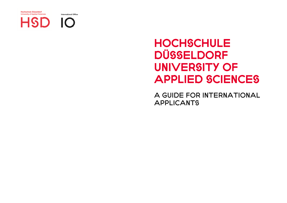International Office

# HSD IO

## **HOCHSCHULE DÜSSELDORF** University of Applied Sciences

A guide for international **APPLICANTS**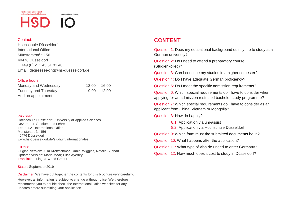International Office

# HSD

### Contact:

Hochschule Düsseldorf International Office Münsterstraße 156 40476 Düsseldorf T +49 (0) 211 43 51 81 40 Email: degreeseeking@hs-duesseldorf.de

### Office hours:

| Monday and Wednesday | $13:00 - 16:00$ |
|----------------------|-----------------|
| Tuesday and Thursday | $9:00 - 12:00$  |
| And on appointment.  |                 |

### Publisher:

Hochschule Düsseldorf - University of Applied Sciences Dezernat 1- Studium und Lehre Team 1.2 - International Office Münsterstraße 156 40476 Düsseldorf www.hs-duesseldorf.de/studium/internationales

### Editors:

Original version: Julia Kretzschmar, Daniel Wiggins, Natalie Suchan Updated version: Maria Maar; Bliss Ayertey Translation: Lingua-World GmbH

### Status: September 2019

Disclaimer: We have put together the contents for this brochure very carefully. However, all information is subject to change without notice. We therefore recommend you to double check the International Office websites for any updates before submitting your application.

## CONTENT

Question 1: Does my educational background qualify me to study at a German university?

Question 2: Do I need to attend a preparatory course (Studienkolleg)?

Question 3: Can I continue my studies in a higher semester?

Question 4: Do I have adequate German proficiency?

Question 5: Do I meet the specific admission requirements?

Question 6: Which special requirements do I have to consider when applying for an admission restricted bachelor study programme?

Question 7: Which special requirements do I have to consider as an applicant from China, Vietnam or Mongolia?

Question 8: How do I apply?

8.1. Application via uni-assist

8.2. Application via Hochschule Düsseldorf

Question 9: Which form must the submitted documents be in?

Question 10: What happens after the application?

Question 11: What type of visa do I need to enter Germany?

Question 12: How much does it cost to study in Düsseldorf?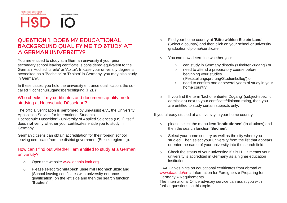**HSD** 

International Office

## Question 1: Does my educational background qualify me to study at a German university?

You are entitled to study at a German university if your prior secondary school leaving certificate is considered equivalent to the German 'Hochschulreife' or 'Abitur'. In case your university degree is accredited as a 'Bachelor' or 'Diplom' in Germany, you may also study in Germany.

In these cases, you hold the university entrance qualification, the socalled 'Hochschulzugangsberechtigung (HZB)'.

### Who checks if my certificates and documents qualify me for studying at Hochschule Düsseldorf?

The official verification is performed by uni-assist e.V., the University Application Service for International Students.

Hochschule Düsseldorf - University of Applied Sciences (HSD) itself does **not** verify whether your certificates entitle you to study in Germany.

German citizens can obtain accreditation for their foreign school leaving certificate from the district government (Bezirksregierung).

### How can I find out whether I am entitled to study at a German university?

- o Open the website www.anabin.kmk.org.
- o Please select **'Schulabschlüsse mit Hochschulzugang'** (School leaving certificates with university entrance qualification) on the left side and then the search function **'Suchen'**.
- o Find your home country at **'Bitte wählen Sie ein Land'** (Select a country) and then click on your school or university graduation diploma/certificate.
- o You can now determine whether you:
	- > can study in Germany directly ('Direkter Zugang') or
	- > need to attend a preparatory course before beginning your studies ('Feststellungsprüfung/Studienkolleg') or
	- $>$  need to confirm one or several years of study in your home country.
- o If you find the term 'fachorientierter Zugang' (subject-specific admission) next to your certificate/diploma rating, then you are entitled to study certain subjects only.

If you already studied at a university in your home country,

- o please select the menu item **'Institutionen'** (Institutions) and then the search function **'Suchen'**.
- o Select your home country as well as the city where you studied. Then select your university from the list that appears, or enter the name of your university into the search field.
- o Check the status of your university: If it is H+, it means your university is accredited in Germany as a higher education institution.

DAAD gives hints on educational certificates from abroad at: www.daad.de/en » Information for Foreigners » Preparing for Germany » Requirements.

The International Office advisory service can assist you with further questions on this topic.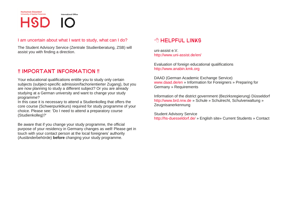HSD IO

International Office

### I am uncertain about what I want to study, what can I do?

The Student Advisory Service (Zentrale Studienberatung, ZSB) will assist you with finding a direction.

## ‼ Important information ‼

Your educational qualifications entitle you to study only certain subjects (subject-specific admission/fachorientierter Zugang), but you are now planning to study a different subject? Or you are already studying at a German university and want to change your study programme?

In this case it is necessary to attend a Studienkolleg that offers the core course (Schwerpunktkurs) required for study programme of your choice. Please see: 'Do I need to attend a preparatory course (Studienkolleg)?'

Be aware that if you change your study programme, the official purpose of your residency in Germany changes as well! Please get in touch with your contact person at the local foreigners' authority (Ausländerbehörde) **before** changing your study programme.

## **A HELPFUL LINKS**

uni-assist e.V. http://www.uni-assist.de/en/

Evaluation of foreign educational qualifications http://www.anabin.kmk.org

DAAD (German Academic Exchange Service) www.daad.de/en » Information for Foreigners » Preparing for Germany » Requirements

Information of the district government (Bezirksregierung) Düsseldorf http://www.brd.nrw.de » Schule » Schulrecht, Schulverwaltung » Zeugnisanerkennung

Student Advisory Service http://hs-duesseldorf.de/ » English site» Current Students » Contact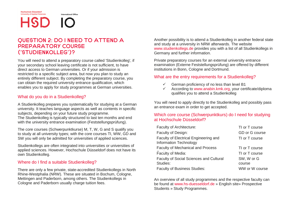HSD IO

International Office

## Question 2: Do I need to attend a preparatory course ('Studienkolleg')?

You will need to attend a preparatory course called 'Studienkolleg', if your secondary school leaving certificate is not sufficient, to have direct access to German universities. Or if your admission is restricted to a specific subject area, but now you plan to study an entirely different subject. By completing the preparatory course, you can obtain the required university entrance qualification, which enables you to apply for study programmes at German universities.

### What do you do in a Studienkolleg?

A Studienkolleg prepares you systematically for studying at a German university. It teaches language aspects as well as contents in specific subjects, depending on your future study programme.

The Studienkolleg is typically structured to last ten months and end with the university entrance examination (Feststellungsprüfung).

The core courses (Schwerpunktkurse) M, T, W, G and S qualify you to study at all university types; with the core courses TI, WW, GD and SW you will only be admitted for universities of applied sciences.

Studienkollegs are often integrated into universities or universities of applied sciences. However, Hochschule Düsseldorf does not have its own Studienkolleg.

### Where do I find a suitable Studienkolleg?

There are only a few private, state-accredited Studienkollegs in North Rhine-Westphalia (NRW). These are situated in Bochum, Cologne, Mettingen and Paderborn, among others. The Studienkollegs in Cologne and Paderborn usually charge tuition fees.

Another possibility is to attend a Studienkolleg in another federal state and study at a university in NRW afterwards. The website www.studienkollegs.de provides you with a list of all Studienkollegs in Germany and further information.

Private preparatory courses for an external university entrance examination (Externe Feststellungsprüfung) are offered by different institutions in Bonn, Cologne and Dortmund.

### What are the entry requirements for a Studienkolleg?

- German proficiency of no less than level B1
- $\checkmark$  According to www.anabin.kmk.org, your certificate/diploma qualifies you to attend a Studienkolleg

You will need to apply directly to the Studienkolleg and possibly pass an entrance exam in order to get accepted.

### Which core course (Schwerpunktkurs) do I need for studying at Hochschule Düsseldorf?

| Faculty of Architecture:                                        | TI or T course |
|-----------------------------------------------------------------|----------------|
| Faculty of Design:                                              | GD or G course |
| Faculty of Electrical Engineering and<br>Information Technology | TI or T course |
| Faculty of Mechanical and Process                               | TI or T course |
| Faculty of Media:                                               | TI or T course |
| Faculty of Social Sciences and Cultural                         | SW. W or G     |
| Studies:                                                        | course         |
| Faculty of Business Studies:                                    | WW or W course |

An overview of all study programmes and the respective faculty can be found at www.hs-duesseldorf.de » English site» Prospective Students » Study Programmes.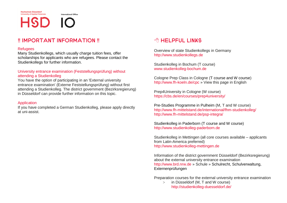International Office

## ‼ Important information ‼

HSD IO

### **Refugees**

Many Studienkollegs, which usually charge tuition fees, offer scholarships for applicants who are refugees. Please contact the Studienkollegs for further information.

### University entrance examination (Feststellungsprüfung) without attending a Studienkolleg

You have the option of participating in an 'External university entrance examination' (Externe Feststellungsprüfung) without first attending a Studienkolleg. The district government (Bezirksregierung) in Düsseldorf can provide further information on this topic.

### Application

If you have completed a German Studienkolleg, please apply directly at uni-assist.

## **A HEI PEIJI LINKS**

Overview of state Studienkollegs in Germany http://www.studienkollegs.de

Studienkolleg in Bochum (T course) www.studienkolleg-bochum.de

Cologne Prep Class in Cologne (T course and W course) http://www.fh-koeln.de/cpc » View this page in English

Prep4University in Cologne (W course) https://cbs.de/en/courses/prep4university/

Pre-Studies Programme in Pulheim (M, T and W course) <http://www.fh-mittelstand.de/international/fhm-studienkolleg/> http://www.fh-mittelstand.de/psp-integra/

Studienkolleg in Paderborn (T course and W course) http://www.studienkolleg-paderborn.de

Studienkolleg in Mettingen (all core courses available – applicants from Latin-America preferred) http://www.studienkolleg-mettingen.de

Information of the district government Düsseldorf (Bezirksregierung) about the external university entrance examination http://www.brd.nrw.de » Schule [» Schulrecht, Schulverwaltung,](http://www.brd.nrw.de/schule/schulrecht_schulverwaltung/index.jsp)  **[Externenprüfungen](http://www.brd.nrw.de/schule/schulrecht_schulverwaltung/index.jsp)** 

Preparation courses for the external university entrance examination

> in Düsseldorf (M, T and W course) http://studienkolleg-duesseldorf.de/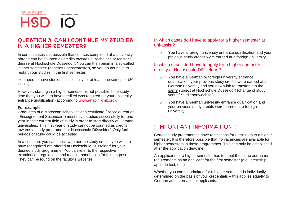HSD IO

International Office

## QUESTION 3: CAN I CONTINUE MY STUDIES in a higher semester?

In certain cases it is possible that courses completed at a university abroad can be counted as credits towards a Bachelor's or Master's degree at Hochschule Düsseldorf. You can then begin in a so-called 'higher semester' (höheres Fachsemester), so you do not have to restart your studies in the first semester.

You need to have studied successfully for at least one semester (30 ECTS).

However, starting in a higher semester is not possible if the study time that you wish to have credited was required for your university entrance qualification (according to www.anabin.kmk.org).

### **For example:**

Graduates of a Moroccan school leaving certificate (Baccalauréat de l'Enseignement Secondaire) must have studied successfully for one year in their current field of study in order to start directly at German universities. This first year of study cannot be counted as credits towards a study programme at Hochschule Düsseldorf. Only further periods of study could be accepted.

In a first step, you can check whether the study credits you wish to have recognized are offered at Hochschule Düsseldorf for your desired study programme. You can refer to the respective examination regulations and module handbooks for this purpose. They can be found on the faculty's websites.

### In which cases do I have to apply for a higher semester at uni-assist?

o You have a foreign university entrance qualification and your previous study credits were earned at a foreign university.

### In which cases do I have to apply for a higher semester directly at Hochschule Düsseldorf?

- o You have a German or foreign university entrance qualification, your previous study credits were earned at a German university and you now wish to transfer into the same subject at Hochschule Düsseldorf (change of study venue/ Studienortwechsel).
- o You have a German university entrance qualification and your previous study credits were earned at a foreign university.

## ‼ Important information ‼

Certain study programmes have restrictions for admission to a higher semester. It is therefore possible that no vacancies are available for higher semesters in these programmes. This can only be established after the application deadline!

An applicant for a higher semester has to meet the same admission requirements as an applicant for the first semester (e.g. internship, aptitude test, etc.).

Whether you can be admitted for a higher semester is individually determined on the basis of your credentials – this applies equally to German and international applicants.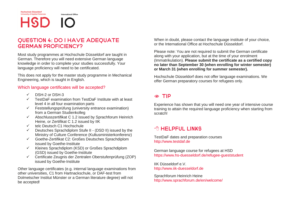**HSD** 

International Office

## Question 4: Do I have adequate German proficiency?

Most study programmes at Hochschule Düsseldorf are taught in German. Therefore you will need extensive German language knowledge in order to complete your studies successfully. Your language proficiency will need to be certificated.

This does not apply for the master study programme in Mechanical Engineering, which is taught in English.

### Which language certificates will be accepted?

- $\checkmark$  DSH-2 or DSH-3
- $\checkmark$  TestDaF examination from TestDaF Institute with at least level 4 in all four examination parts
- $\checkmark$  Feststellungsprüfung (university entrance examination) from a German Studienkolleg
- $\checkmark$  Abschlusszertifikat C 1.2 issued by Sprachforum Heinrich Heine, or Zertifikat C 1.2 issued by IIK
- $\checkmark$  telc Deutsch C1 Hochschule
- $\checkmark$  Deutsches Sprachdiplom Stufe II (DSD II) issued by the Ministry of Culture Conference (Kultusministerkonferenz)
- Goethe-Zertifikat C2: Großes Deutsches Sprachdiplom issued by Goethe-Institute
- $\checkmark$  Kleines Sprachdiplom (KSD) or Großes Sprachdiplom (GSD) issued by Goethe-Institute
- Certificate Zeugnis der Zentralen Oberstufenprüfung (ZOP) issued by Goethe-Institute

Other language certificates (e.g. internal language examinations from other universities, C1 from Hartnackschule, or DAF-test from Dolmetscher Institut Münster or a German literature degree) will not be accepted!

When in doubt, please contact the language institute of your choice, or the International Office at Hochschule Düsseldorf.

Please note: You are not required to submit the German certificate along with your application, but at the time of your enrolment (Immatrikulation). **Please submit the certificate as a certified copy no later than September 30 (when enrolling for winter semester) or March 31 (when enrolling for summer semester).**

Hochschule Düsseldorf does not offer language examinations. We offer German preparatory courses for refugees only.

## $\circ$  Tip

Experience has shown that you will need one year of intensive course training to attain the required language proficiency when starting from scratch!

## *A* HELPFUL LINKS

TestDaF dates and preparation courses http://www.testdaf.de

German language course for refugees at HSD https://www.hs-duesseldorf.de/refugee-gueststudent

IIK Düsseldorf e.V. http://www.iik-duesseldorf.de

Sprachforum Heinrich Heine http://www.sprachforum.de/en/welcome/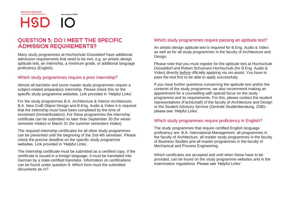**HSD** 

International Office

## Question 5: Do I meet the specific admission requirements?

Many study programmes at Hochschule Düsseldorf have additional admission requirements that need to be met, e.g. an artistic-design aptitude test, an internship, a minimum grade, or additional language proficiency (English).

### Which study programmes require a prior internship?

Almost all bachelor and some master study programmes require a subject-related preparatory internship. Please check this on the specific study programme websites. Link provided in 'Helpful Links'.

For the study programmes B.A. Architecture & Interior Architecture, B.A. New Craft Object Design and B.Eng. Audio & Video it is required that the internship must have been completed by the time of enrolment (Immatrikulation). For these programmes the internship certificate can be submitted no later than September 30 (for winter semester intake) or March 31 (for summer semesters intake).

The required internship certificates for all other study programmes can be presented until the beginning of the 2nd-4th semester. Please check the precise deadline on the specific study programme websites. Link provided in 'Helpful Links'.

The internship certificate must be submitted as a certified copy. If the certificate is issued in a foreign language, it must be translated into German by a state-certified translator. Information on certifications can be found under question 9: *Which form must the submitted documents be in?*

### Which study programmes require passing an aptitude test?

An artistic-design aptitude test is required for B.Eng. Audio & Video as well as for all study programmes in the faculty of Architecture and Design.

Please note that you must register for the aptitude test at Hochschule Düsseldorf and Robert Schumann Hochschule (for B.Eng. Audio & Video) directly before officially applying via uni-assist. You have to pass the test first to be able to apply successfully.

If you have further questions concerning the aptitude test and/or the contents of the study programme, we also recommend making an appointment for a counselling with special focus on the study programme and its requirements. For this, please contact the student representatives (Fachschaft) of the faculty of Architecture and Design or the Student Advisory Service (Zentrale Studienberatung, ZSB)– please see 'Helpful Links'.

### Which study programmes require proficiency in English?

The study programmes that require certified English language proficiency are: B.A. International Management, all programmes in the faculty of Architecture, all master study programmes in the faculty of Business Studies and all master programmes in the faculty of Mechanical and Process Engineering.

Which certificates are accepted and until when these have to be provided, can be found on the study programme websites and in the examination regulations. Please see 'Helpful Links'.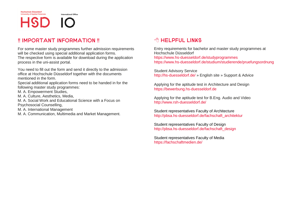**HSD** 

International Office

 $\mathsf{I}\mathsf{O}$ 

## ‼ Important information ‼

For some master study programmes further admission requirements will be checked using special additional application forms.

The respective form is available for download during the application process in the uni-assist portal.

You need to fill out the form and send it directly to the admission office at Hochschule Düsseldorf together with the documents mentioned in the form.

Special additional application forms need to be handed in for the following master study programmes:

M. A. Empowerment Studies,

M. A. Culture, Aesthetics, Media,

M. A. Social Work and Educational Science with a Focus on

Psychosocial Counselling,

M. A. International Management

M. A. Communication, Multimedia and Market Management.

## **A HEI PEIJI LINKS**

Entry requirements for bachelor and master study programmes at Hochschule Düsseldorf https://www.hs-duesseldorf.de/studyprogrammes https://www.hs-duesseldorf.de/studium/studierende/pruefungsordnung

Student Advisory Service http://hs-duesseldorf.de/ » English site » Support & Advice

Applying for the aptitude test in Architecture and Design [https://bewerbung.hs-duesseldorf.de](https://bewerbung.hs-duesseldorf.de/)

Applying for the aptitude test for B.Eng. Audio and Video http://www.rsh-duesseldorf.de/

Student representatives Faculty of Architecture http://pbsa.hs-duesseldorf.de/fachschaft\_architektur

Student representatives Faculty of Design http://pbsa.hs-duesseldorf.de/fachschaft\_design

Student representatives Faculty of Media https://fachschaftmedien.de/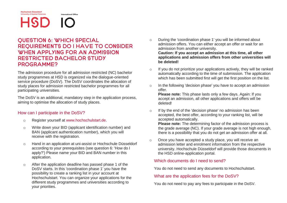HSD IO

International Office

## Question 6: Which special requirements do I have to consider WHEN APPLYING FOR AN ADMISSION restricted bachelor study programme?

The admission procedure for all admission restricted (NC) bachelor study programmes at HSD is organized via the dialogue-oriented service procedure (DoSV). The DoSV coordinates the allocation of study places for admission restricted bachelor programmes for all participating universities.

The DoSV is an additional, mandatory step in the application process, aiming to optimise the allocation of study places.

### How can I participate in the DoSV?

- o Register yourself at www.hochschulstart.de.
- o Write down your BID (applicant identification number) and BAN (applicant authentication number), which you will receive with the registration.
- o Hand in an application at uni-assist or Hochschule Düsseldorf according to your prerequisites (see question 6: 'How do I apply?') Please name your BID and BAN number in this application.
- o After the application deadline has passed phase 1 of the DoSV starts. In this 'coordination phase 1' you have the possibility to create a ranking list in your account at Hochschulstart. You can organize your applications for the different study programmes and universities according to your priorities.
- o During the 'coordination phase 1' you will be informed about admission offers. You can either accept an offer or wait for an admission from another university. **Caution: If you accept an admission at this time, all other applications and admission offers from other universities will be deleted!**
- $\circ$  If you do not prioritize your applications actively, they will be ranked automatically according to the time of submission. The application which has been submitted first will get the first position on the list.
- o In the following 'decision phase' you have to accept an admission offer.

**Please note:** This phase lasts only a few days. Again: If you accept an admission, all other applications and offers will be deleted!

o If by the end of the 'decision phase' no admission has been accepted, the best offer, according to your ranking list, will be accepted automatically.

**Please note:** The determining factor of the admission process is the grade average (NC). If your grade average is not high enough, there is a possibility that you do not get an admission offer at all.

o Once you have accepted a study place, you will receive an admission letter and enrolment information from the respective university. Hochschule Düsseldorf will provide those documents in the HSD online-application portal.

### Which documents do I need to send?

You do not need to send any documents to Hochschulstart.

### What are the application fees for the DoSV?

You do not need to pay any fees to participate in the DoSV.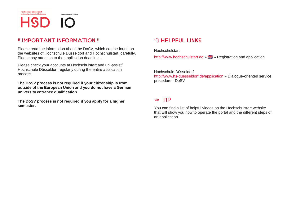International Office

## ‼ Important information ‼

Please read the information about the DoSV, which can be found on the websites of Hochschule Düsseldorf and Hochschulstart, carefully. Please pay attention to the application deadlines.

Please check your accounts at Hochschulstart and uni-assist/ Hochschule Düsseldorf regularly during the entire application process.

**The DoSV process is not required if your citizenship is from outside of the European Union and you do not have a German university entrance qualification.**

**The DoSV process is not required if you apply for a higher semester.**

## **A HEI PEIJI LINKS**

**Hochschulstart** 

http://www.hochschulstart.de » » Registration and application

Hochschule Düsseldorf http://www.hs-duesseldorf.de/application » Dialogue-oriented service procedure - DoSV

### Tip

You can find a list of helpful videos on the Hochschulstart website that will show you how to operate the portal and the different steps of an application.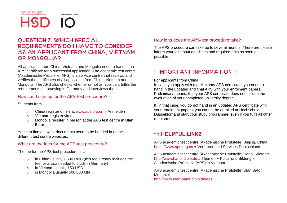**HSD** 

International Office

## Question 7: Which special requirements do I have to consider as an applicant from China, Vietnam OR MONGOLIA?

All applicants from China, Vietnam and Mongolia need to hand in an APS certificate for a successful application. The academic test centre (Akademische Prüfstelle, APS) is a service centre that reviews and verifies the certificates of all applicants from China, Vietnam and Mongolia. The APS also checks whether or not an applicant fulfils the requirements for studying in Germany and interviews them.

### How can I sign up for the APS-test procedure?

Students from…

- o China register online at www.aps.org.cn » Anmelden
- o Vietnam register via mail
- o Mongolia register in person at the APS test centre in Ulan Bator.

You can find out what documents need to be handed in at the different test centre websites.

### What are the fees for the APS-test procedure?

The fee for the APS-test procedure is…

- o in China usually 2.500 RMB (this fee already includes the fee for a visa needed to study in Germany)
- o in Vietnam usually 150 USD
- o in Mongolia usually 500.000 MNT.

### How long does the APS-test procedure take?

The APS procedure can take up to several months. Therefore please inform yourself about deadlines and requirements as soon as possible.

## ‼ Important information ‼

### For applicants from China:

In case you apply with a preliminary APS certificate, you need to hand in the updated and final APS with your enrolment papers. Preliminary means, that your APS certificate does not include the evaluation of your completed university degree.

If, in that case, you do not hand in an updated APS certificate with your enrolment papers, you cannot be enrolled at Hochschule Düsseldorf and start your study programme, even if you fulfil all other requirements!

## **A HELPFUL LINKS**

APS academic test centre (Akademische Prüfstelle) Beijing, China https://www.aps.org.cn » Verfahren und Services Deutschland

APS academic test centre (Akademische Prüfstelle) Hanoi, Vietnam http://www.hanoi.diplo.de » Themen » Kultur und Bildung » Akademische Prüfstelle (APS) in Vietnam

APS academic test centre (Akademische Prüfstelle) Ulan Bator, Mongolei http://www.ulan-bator.diplo.de/aps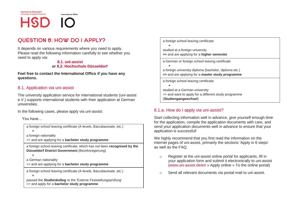International Office

# HSI

## QUESTION 8: HOW DO I APPLY?

It depends on various requirements where you need to apply. Please read the following information carefully to see whether you need to apply via:

### **8.1. uni-assist or 8.2. Hochschule Düsseldorf**

**Feel free to contact the International Office if you have any questions.**

### 8.1. Application via uni-assist

The university application service for international students (uni-assist e.V.) supports international students with their application at German universities.

In the following cases, please apply via uni-assist:

You have…

| a foreign school leaving certificate (A-levels, Baccalaureate, etc.)<br>٠<br>a foreign nationality<br>>> and are applying for a <b>bachelor study programme</b>                                                           |  |
|---------------------------------------------------------------------------------------------------------------------------------------------------------------------------------------------------------------------------|--|
| a foreign school leaving certificate, which has not been recognised by the<br>Düsseldorf District Government (Bezirksregierung)<br>٠<br>a German nationality<br>>> and are applying for a <b>bachelor study programme</b> |  |
| a foreign school leaving certificate (A-levels, Baccalaureate, etc.)<br>٠<br>passed the <b>Studienkolleg</b> or the 'Externe Feststellungsprüfung'<br>>> and apply for a <b>bachelor study programme</b>                  |  |

| a foreign school leaving certificate<br>studied at a foreign university<br>>> and are applying for a higher semester                                        |
|-------------------------------------------------------------------------------------------------------------------------------------------------------------|
| a German or foreign school leaving certificate<br>a foreign university diploma (bachelor, diploma etc.)<br>>> and are applying for a master study programme |
| a foreign school leaving certificate<br>studied at a German university<br>>> and want to apply for a different study programme<br>(Studiengangwechsel)      |

### 8.1.a. How do I apply via uni-assist?

Start collecting information well in advance, give yourself enough time for the application, compile the application documents with care, and send your application documents well in advance to ensure that your application is successful!

We highly recommend that you first read the information on the internet pages of uni-assist, primarily the sections 'Apply in 6 steps' as well as the FAQ.

- o Register at the uni-assist online portal for applicants, fill in your application form and submit it electronically to uni-assist (www.uni-assist.de/en » Apply online » To the online portal)
- o Send all relevant documents via postal mail to uni-assist.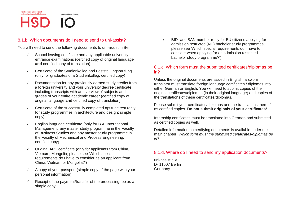International Office

### 8.1.b. Which documents do I need to send to uni-assist?

You will need to send the following documents to uni-assist in Berlin:

- $\checkmark$  School leaving certificate and any applicable university entrance examinations (certified copy of original language **and** certified copy of translation)
- $\checkmark$  Certificate of the Studienkolleg and Feststellungsprüfung (only for graduates of a Studienkolleg; certified copy)
- $\checkmark$  Documentation for any previously earned study credits from a foreign university and your university degree certificate. including transcripts with an overview of subjects and grades of your entire academic career (certified copy of original language **and** certified copy of translation)
- $\checkmark$  Certificate of the successfully completed aptitude test (only for study programmes in architecture and design; simple copy)
- $\checkmark$  English language certificate (only for B.A. International Management, any master study programme in the Faculty of Business Studies and any master study programme in the Faculty of Mechanical and Process Engineering; certified copy)
- $\checkmark$  Original APS certificate (only for applicants from China, Vietnam, Mongolia; please see 'Which special requirements do I have to consider as an applicant from China, Vietnam or Mongolia?')
- $\checkmark$  A copy of your passport (simple copy of the page with your personal information)
- Receipt of the payment/transfer of the processing fee as a simple copy

 $\checkmark$  BID- and BAN-number (only for EU citizens applying for admission restricted (NC) bachelor study programmes; please see 'Which special requirements do I have to consider when applying for an admission restricted bachelor study programme?')

### 8.1.c. Which form must the submitted certificates/diplomas be in?

Unless the original documents are issued in English, a sworn translator must translate foreign language certificates / diplomas into either German or English. You will need to submit copies of the original certificates/diplomas (in their original language) and copies of the translations of these certificates/diplomas.

Please submit your certificates/diplomas and the translations thereof as certified copies. **Do not submit originals of your certificates!**

Internship certificates must be translated into German and submitted as certified copies as well.

Detailed information on certifying documents is available under the main chapter: *Which form must the submitted certificates/diplomas be in?*

### 8.1.d. Where do I need to send my application documents?

uni-assist e.V. D- 11507 Berlin Germany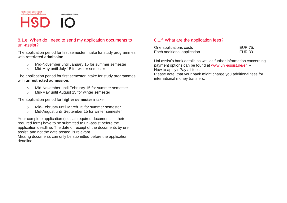**HSD** 

International Office

 $\mathsf{I}\mathsf{O}$ 

### 8.1.e. When do I need to send my application documents to uni-assist?

The application period for first semester intake for study programmes with **restricted admission**:

- o Mid-November until January 15 for summer semester
- o Mid-May until July 15 for winter semester

The application period for first semester intake for study programmes with **unrestricted admission**:

- o Mid-November until February 15 for summer semester
- o Mid-May until August 15 for winter semester

The application period for **higher semester** intake:

- o Mid-February until March 15 for summer semester
- o Mid-August until September 15 for winter semester

Your complete application (incl. all required documents in their required form) have to be submitted to uni-assist before the application deadline. The date of receipt of the documents by uniassist, and not the date posted, is relevant. Missing documents can only be submitted before the application deadline.

### 8.1.f. What are the application fees?

| One applications costs      | EUR 75. |
|-----------------------------|---------|
| Each additional application | EUR 30. |

Uni-assist's bank details as well as further information concerning payment options can be found at www.uni-assist.de/en » How to apply» Pay all fees.

Please note, that your bank might charge you additional fees for international money transfers.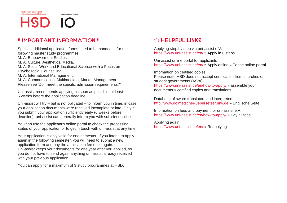International Office

## ‼ Important information ‼

Special additional application forms need to be handed in for the following master study programmes:

M. A. Empowerment Studies,

M. A. Culture, Aesthetics, Media,

HSD IO

M. A. Social Work and Educational Science with a Focus on Psychosocial Counselling,

M. A. International Management,

M. A. Communication, Multimedia a. Market Management. Please see 'Do I meet the specific admission requirements?'

Uni-assist recommends applying as soon as possible, at least 6 weeks before the application deadline.

Uni-assist will try – but is not obligated – to inform you in time, in case your application documents were received incomplete or late. Only if you submit your application sufficiently early (6 weeks before deadline), uni-assist can generally inform you with sufficient notice.

You can use the applicant's online portal to check the processing status of your application or to get in touch with uni-assist at any time.

Your application is only valid for one semester. If you intend to apply again in the following semester, you will need to submit a new application form and pay the application fee once again. Uni-assist keeps your documents for one year after you applied, so you do not have to send again anything uni-assist already received with your previous application.

You can apply for a maximum of 3 study programmes at HSD.

## **A HEI PEIJI LINKS**

Applying step by step via uni-assist e.V. https://www.uni-assist.de/en/ » Apply in 6 steps

Uni-assist online portal for applicants https://www.uni-assist.de/en/ » Apply online » To the online portal

Information on certified copies Please note: HSD does not accept certification from churches or student governments (AStA) https://www.uni-assist.de/en/how-to-apply/ » assemble your documents » certified copies and translations

Database of sworn translators and interpreters http://www.dolmetscher-uebersetzer.nrw.de » Englische Seite

Information on fees and payment for uni-assist e.V. https://www.uni-assist.de/en/how-to-apply/ » Pay all fees

Applying again https://www.uni-assist.de/en/ » Reapplying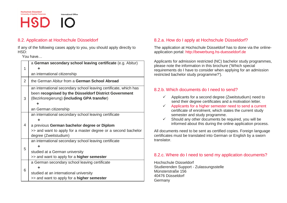International Office

# **HSD**

### 8.2. Application at Hochschule Düsseldorf

If any of the following cases apply to you, you should apply directly to HSD:

You have…

|                | a German secondary school leaving certificate (e.g. Abitur)      |
|----------------|------------------------------------------------------------------|
| 1              |                                                                  |
|                | an international citizenship                                     |
| $\overline{2}$ | the German Abitur from a German School Abroad                    |
|                | an international secondary school leaving certificate, which has |
|                | been recognised by the Düsseldorf District Government            |
| 3              | (Bezirksregierung) (including GPA transfer)                      |
|                | ٠                                                                |
|                | an German citizenship                                            |
|                | an international secondary school leaving certificate            |
|                |                                                                  |
| 4              | a previous German bachelor degree or Diplom                      |
|                | >> and want to apply for a master degree or a second bachelor    |
|                | degree (Zweitstudium)                                            |
| 5              | an international secondary school leaving certificate            |
|                |                                                                  |
|                | studied at a German university                                   |
|                | >> and want to apply for a <b>higher semester</b>                |
|                | a German secondary school leaving certificate                    |
| 6              |                                                                  |
|                | studied at an international university                           |
|                | >> and want to apply for a <b>higher semester</b>                |

### 8.2.a. How do I apply at Hochschule Düsseldorf?

The application at Hochschule Düsseldorf has to done via the onlineapplication portal: http://bewerbung.hs-duesseldorf.de

Applicants for admission restricted (NC) bachelor study programmes, please note the information in this brochure ('Which special requirements do I have to consider when applying for an admission restricted bachelor study programme?').

### 8.2.b. Which documents do I need to send?

- $\checkmark$  Applicants for a second degree (Zweitstudium) need to send their degree certificates and a motivation letter.
- $\checkmark$  Applicants for a higher semester need to send a current certificate of enrolment, which states the current study semester and study programme.
- $\checkmark$  Should any other documents be required, you will be informed about this during the online application process.

All documents need to be sent as certified copies. Foreign language certificates must be translated into German or English by a sworn translator.

### 8.2.c. Where do I need to send my application documents?

Hochschule Düsseldorf Studierenden Support - Zulassungsstelle Münsterstraße 156 40476 Düsseldorf Germany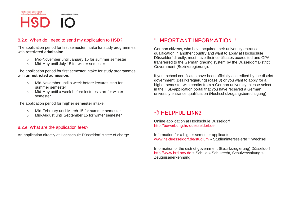International Office

### 8.2.d. When do I need to send my application to HSD?

The application period for first semester intake for study programmes with **restricted admission**:

- o Mid-November until January 15 for summer semester
- o Mid-May until July 15 for winter semester

The application period for first semester intake for study programmes with **unrestricted admission**:

- o Mid-November until a week before lectures start for summer semester
- o Mid-May until a week before lectures start for winter semester

The application period for **higher semester** intake:

- o Mid-February until March 15 for summer semester
- o Mid-August until September 15 for winter semester

### 8.2.e. What are the application fees?

An application directly at Hochschule Düsseldorf is free of charge.

## ‼ Important information ‼

German citizens, who have acquired their university entrance qualification in another country and want to apply at Hochschule Düsseldorf directly, must have their certificates accredited and GPA transferred to the German grading system by the Düsseldorf District Government (Bezirksregierung).

If your school certificates have been officially accredited by the district government (Bezirksregierung) (case 3) or you want to apply for a higher semester with credits from a German university, please select in the HSD-application portal that you have received a German university entrance qualification (Hochschulzugangsberechtigung).

## *A* HELPFUL LINKS

Online application at Hochschule Düsseldorf http://bewerbung.hs-duesseldorf.de

Information for a higher semester applicants www.hs-duesseldorf.de/studium » Studieninteressierte » Wechsel

Information of the district government (Bezirksregierung) Düsseldorf http://www.brd.nrw.de » Schule » Schulrecht, Schulverwaltung » Zeugnisanerkennung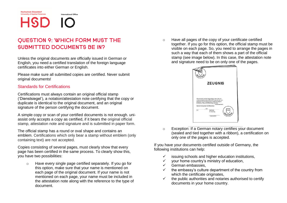International Office

## Question 9: Which form must the submitted documents be in?

Unless the original documents are officially issued in German or English, you need a certified translation of the foreign language certificates into either German or English.

Please make sure all submitted copies are certified. Never submit original documents!

### Standards for Certifications

Certifications must always contain an original official stamp ('Dienstsiegel'), a notation/attestation note certifying that the copy or duplicate is identical to the original document, and an original signature of the person certifying the document.

A simple copy or scan of your certified documents is not enough. uniassist only accepts a copy as certified, if it bears the original official stamp, attestation note and signature and is submitted in paper form.

The official stamp has a round or oval shape and contains an emblem. Certifications which only bear a stamp without emblem (only containing text) are not accepted.

Copies consisting of several pages, must clearly show that every page has been certified in the same process. To clearly show this, you have two possibilities:

o Have every single page certified separately. If you go for this option, make sure that your name is mentioned on each page of the original document. If your name is not mentioned on each page, your name must be included in the attestation note along with the reference to the type of document.

o Have all pages of the copy of your certificate certified together. If you go for this option, the official stamp must be visible on each page. So, you need to arrange the pages in such a way that each of them shows a part of the official stamp (see image below). In this case, the attestation note and signature need to be on only one of the pages.



o Exception: If a German notary certifies your document (sealed and tied together with a ribbon), a certification on only one of the pages is accepted.

If you have your documents certified outside of Germany, the following institutions can help:

- $\checkmark$  issuing schools and higher education institutions,
- $\checkmark$  your home country's ministry of education,
- German embassies,
- $\checkmark$  the embassy's culture department of the country from which the certificate originates,
- the public authorities and notaries authorised to certify documents in your home country.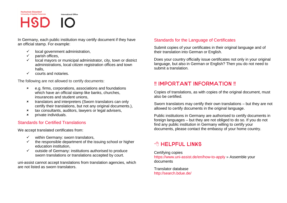International Office

In Germany, each public institution may certify document if they have

- $\checkmark$  local government administration,
- $\times$  parish offices.

an official stamp. For example:

**HSD** 

- $\checkmark$  local mayors or municipal administrator, city, town or district administrations, local citizen registration offices and town halls,
- $\checkmark$  courts and notaries.

The following are not allowed to certify documents:

- e.g. firms, corporations, associations and foundations which have an official stamp like banks, churches, insurances and student unions,
- **\*** translators and interpreters (Sworn translators can only certify their translations, but not any original documents.),
- **\*** tax consultants, auditors, lawyers or legal advisers,
- private individuals.

### Standards for Certified Translations

We accept translated certificates from:

- $\checkmark$  within Germany: sworn translators,
- $\checkmark$  the responsible department of the issuing school or higher education institution,
- $\checkmark$  outside of Germany: institutions authorised to produce sworn translations or translations accepted by court.

uni-assist cannot accept translations from translation agencies, which are not listed as sworn translators.

### Standards for the Language of Certificates

Submit copies of your certificates in their original language and of their translation into German or English.

Does your country officially issue certificates not only in your original language, but also in German or English? Then you do not need to submit a translation.

## ‼ Important information ‼

Copies of translations, as with copies of the original document, must also be certified.

Sworn translators may certify their own translations – but they are not allowed to certify documents in the original language.

Public institutions in Germany are authorised to certify documents in foreign languages – but they are not obliged to do so. If you do not find any public institution in Germany willing to certify your documents, please contact the embassy of your home country.

## $A$  HEI PFUL LINKS

Certifying copies https://www.uni-assist.de/en/how-to-apply » Assemble your documents

Translator database http://search.bdue.de/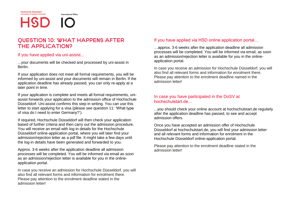**HSD** 

International Office

## Question 10: What happens after the application?

### If you have applied via uni-assist...

...your documents will be checked and processed by uni-assist in Berlin.

If your application does not meet all formal requirements, you will be informed by uni-assist and your documents will remain in Berlin. If the application deadline has already passed, you can only re-apply at a later point in time.

If your application is complete and meets all formal requirements, uniassist forwards your application to the admission office of Hochschule Düsseldorf. Uni-assist confirms this step in writing. You can use this letter to start applying for a visa (please see question 11: 'What type of visa do I need to enter Germany?').

If required, Hochschule Düsseldorf will then check your application based of further criteria and then carry out the admission procedure. You will receive an email with log-in details for the Hochschule Düsseldorf online-application portal, where you will later find your admission/rejection letter as a pdf file. It might take a few days until the log-in details have been generated and forwarded to you.

Approx. 3-6 weeks after the application deadline all admission processes will be completed. You will be informed via email as soon as an admission/rejection letter is available for you in the onlineapplication portal.

In case you receive an admission for Hochschule Düsseldorf, you will also find all relevant forms and information for enrolment there. Please pay attention to the enrolment deadline stated in the admission letter!

### If you have applied via HSD online application portal…

…approx. 3-6 weeks after the application deadline all admission processes will be completed. You will be informed via email, as soon as an admission/rejection letter is available for you in the onlineapplication portal.

In case you receive an admission for Hochschule Düsseldorf, you will also find all relevant forms and information for enrolment there. Please pay attention to the enrolment deadline named in the admission letter!

### In case you have participated in the DoSV at hochschulstart.de…

...you should check your online account at hochschulstart.de regularly after the application deadline has passed, to see and accept admission offers.

Once you have accepted an admission offer of Hochschule Düsseldorf at hochschulstart.de, you will find your admission letter and all relevant forms and information for enrolment in the Hochschule Düsseldorf online-application portal.

Please pay attention to the enrolment deadline stated in the admission letter!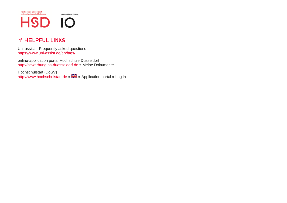**Hochschule Düsseldorf** nochschule Dusseldon<br>University of Applied Sciences

International Office

HSD IO

## *A* HELPFUL LINKS

Uni-assist – Frequently asked questions https://www.uni-assist.de/en/faqs/

online-application portal Hochschule Düsseldorf http://bewerbung.hs-duesseldorf.de » Meine Dokumente

Hochschulstart (DoSV) http://www.hochschulstart.de »» Application portal » Log in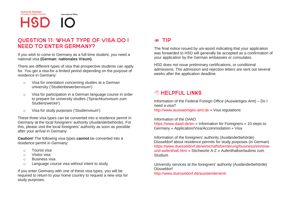HSD IO

International Office

## Question 11: What type of visa do I need to enter Germany?

If you wish to come to Germany as a full-time student, you need a national visa **(German: nationales Visum)**.

There are different types of visa that prospective students can apply for. You get a visa for a limited period depending on the purpose of residence in Germany:

- o Visa for orientation concerning studies at a German university ('Studienbewerbervisum')
- o Visa for participation in a German language course in order to prepare for university studies ('Sprachkursvisum zum Studienzwecke')
- o Visa for study purposes ('Studienvisum')

These three visa types can be converted into a residence permit in Germany at the local foreigners' authority (Ausländerbehörde). For this, please visit the local foreigners' authority as soon as possible after your arrival in Germany.

**Caution!** The following visa types **cannot** be converted into a residence permit in Germany:

- o Tourist visa
- o Visitor visa
- o Business visa
- o Language course visa without intent to study

If you enter Germany with one of these visa types, you will be required to return to your home country to request a new visa for study purposes.

## **TIP**

The final notice issued by uni-assist indicating that your application was forwarded to HSD will generally be accepted as a confirmation of your application by the German embassies or consulates.

HSD does not issue preliminary certifications, or conditional admissions. The admission and rejection letters are sent out several weeks after the application deadline.

## **A HEI PEIJI LINKS**

Information of the Federal Foreign Office (Auswärtiges Amt) – Do I need a visa? http://www.auswaertiges-amt.de » Visa regulations

Information of the DAAD

https://www.daad.de/en » Information for Foreigners » 10 steps to Germany » Application/Visa/Accommodation » Visa

Information of the foreigners' authority (Ausländerbehörde) Düsseldorf about residence permits for study purposes (in German) https://www.duesseldorf.de/wirtschaftsfoerderung/business/einreiseund-aufenthalt.html » Stichworte A-Z » Aufenthaltserlaubnis zum Studium

University services at the foreigners' authority (Ausländerbehörde) Düsseldorf

http://www.duesseldorf.de/auslaenderamt/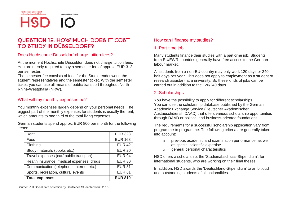HSD 10

International Office

## Question 12: How much does it cost to study in Düsseldorf?

### Does Hochschule Düsseldorf charge tuition fees?

At the moment Hochschule Düsseldorf does not charge tuition fees. You are merely required to pay a semester fee of approx. EUR 312 per semester.

The semester fee consists of fees for the Studierendenwerk, the student representatives and the semester ticket. With the semester ticket, you can use all means of public transport throughout North Rhine-Westphalia (NRW).

### What will my monthly expenses be?

You monthly expenses largely depend on your personal needs. The biggest part of the monthly expenses for students is usually the rent, which amounts to one third of the total living expenses.

German students spend approx. EUR 800 per month for the following items:

| Rent                                      | <b>EUR 323</b> |
|-------------------------------------------|----------------|
| Food                                      | <b>EUR 168</b> |
| Clothing                                  | <b>EUR 42</b>  |
| Study materials (books etc.)              | <b>EUR 20</b>  |
| Travel expenses (car/ public transport)   | <b>EUR 94</b>  |
| Health insurance, medical expenses, drugs | <b>EUR 80</b>  |
| Communication (telephone, internet etc.)  | <b>EUR 31</b>  |
| Sports, recreation, cultural events       | <b>EUR 61</b>  |
| <b>Total expenses</b>                     | <b>EUR 819</b> |

Source: 21st Social data collection by Deutsches Studentenwerk, 2016

### How can I finance my studies?

### 1. Part-time job

Many students finance their studies with a part-time job. Students from EU/EWR-countries generally have free access to the German labour market.

All students from a non-EU-country may only work 120 days or 240 half days per year. This does not apply to employment as a student or research assistant at a university. So these kinds of jobs can be carried out in addition to the 120/240 days.

### 2. Scholarships

You have the possibility to apply for different scholarships. You can use the scholarship database published by the German Academic Exchange Service (Deutscher Akademischer Austauschdienst, DAAD) that offers various scholarship opportunities through DAAD or political and business-oriented foundations.

The requirements for a successful scholarship application vary from programme to programme. The following criteria are generally taken into account:

- o previous academic and examination performance, as well as special scientific expertise
- o general personal characteristics

HSD offers a scholarship, the 'Studienabschluss-Stipendium', for international students, who are working on their final theses.

In addition, HSD awards the 'Deutschland-Stipendium' to ambitioud and outstanding students of all nationalities.